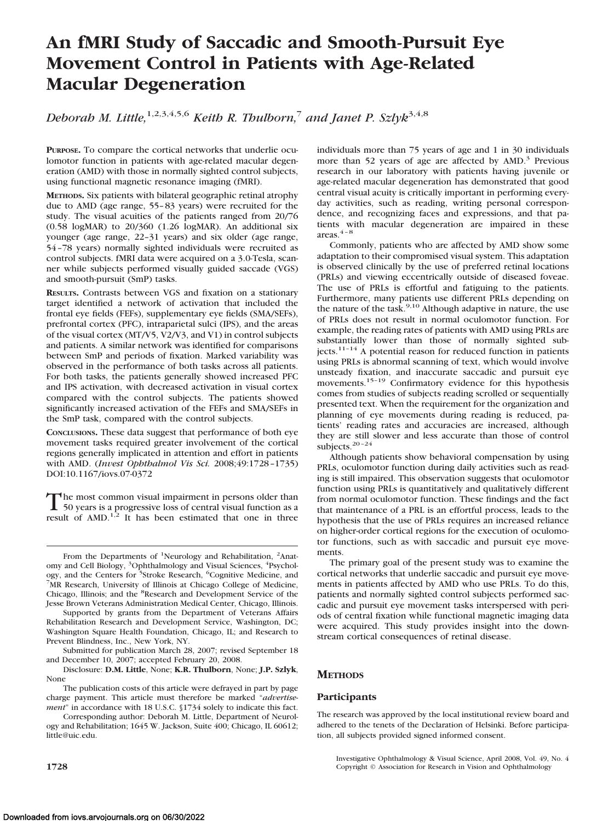# **An fMRI Study of Saccadic and Smooth-Pursuit Eye Movement Control in Patients with Age-Related Macular Degeneration**

*Deborah M. Little*,<sup>1,2,3,4,5,6</sup> *Keith R. Thulborn*,<sup>7</sup> *and Janet P. Szlyk*<sup>3,4,8</sup>

**PURPOSE.** To compare the cortical networks that underlie oculomotor function in patients with age-related macular degeneration (AMD) with those in normally sighted control subjects, using functional magnetic resonance imaging (fMRI).

**METHODS.** Six patients with bilateral geographic retinal atrophy due to AMD (age range, 55–83 years) were recruited for the study. The visual acuities of the patients ranged from 20/76 (0.58 logMAR) to 20/360 (1.26 logMAR). An additional six younger (age range, 22–31 years) and six older (age range, 54–78 years) normally sighted individuals were recruited as control subjects. fMRI data were acquired on a 3.0-Tesla, scanner while subjects performed visually guided saccade (VGS) and smooth-pursuit (SmP) tasks.

**RESULTS.** Contrasts between VGS and fixation on a stationary target identified a network of activation that included the frontal eye fields (FEFs), supplementary eye fields (SMA/SEFs), prefrontal cortex (PFC), intraparietal sulci (IPS), and the areas of the visual cortex (MT/V5, V2/V3, and V1) in control subjects and patients. A similar network was identified for comparisons between SmP and periods of fixation. Marked variability was observed in the performance of both tasks across all patients. For both tasks, the patients generally showed increased PFC and IPS activation, with decreased activation in visual cortex compared with the control subjects. The patients showed significantly increased activation of the FEFs and SMA/SEFs in the SmP task, compared with the control subjects.

**CONCLUSIONS.** These data suggest that performance of both eye movement tasks required greater involvement of the cortical regions generally implicated in attention and effort in patients with AMD. (*Invest Ophthalmol Vis Sci.* 2008;49:1728–1735) DOI:10.1167/iovs.07-0372

The most common visual impairment in persons older than<br>50 years is a progressive loss of central visual function as a<br>sense of AMD  $\frac{1.2}{3}$  is a loss a primated distance in these result of  $AMD$ ,<sup>1,2</sup> It has been estimated that one in three

From the Departments of <sup>1</sup>Neurology and Rehabilitation, <sup>2</sup>Anatomy and Cell Biology, <sup>3</sup>Ophthalmology and Visual Sciences, <sup>4</sup>Psychology, and the Centers for <sup>5</sup>Stroke Research, <sup>6</sup>Cognitive Medicine, and 7MB Research, University of Illinois at Chicago College of Medicine <sup>7</sup>MR Research, University of Illinois at Chicago College of Medicine, Chicago, Illinois; and the <sup>8</sup>Research and Development Service of the Jesse Brown Veterans Administration Medical Center, Chicago, Illinois.

Supported by grants from the Department of Veterans Affairs Rehabilitation Research and Development Service, Washington, DC; Washington Square Health Foundation, Chicago, IL; and Research to Prevent Blindness, Inc., New York, NY.

Submitted for publication March 28, 2007; revised September 18 and December 10, 2007; accepted February 20, 2008.

Disclosure: **D.M. Little**, None; **K.R. Thulborn**, None; **J.P. Szlyk**, None

The publication costs of this article were defrayed in part by page charge payment. This article must therefore be marked "*advertisement*" in accordance with 18 U.S.C. §1734 solely to indicate this fact.

Corresponding author: Deborah M. Little, Department of Neurology and Rehabilitation; 1645 W. Jackson, Suite 400; Chicago, IL 60612; little@uic.edu.

individuals more than 75 years of age and 1 in 30 individuals more than 52 years of age are affected by  $AMD$ <sup>3</sup> Previous research in our laboratory with patients having juvenile or age-related macular degeneration has demonstrated that good central visual acuity is critically important in performing everyday activities, such as reading, writing personal correspondence, and recognizing faces and expressions, and that patients with macular degeneration are impaired in these areas.<sup>4-8</sup>

Commonly, patients who are affected by AMD show some adaptation to their compromised visual system. This adaptation is observed clinically by the use of preferred retinal locations (PRLs) and viewing eccentrically outside of diseased foveae. The use of PRLs is effortful and fatiguing to the patients. Furthermore, many patients use different PRLs depending on the nature of the task.<sup>9,10</sup> Although adaptive in nature, the use of PRLs does not result in normal oculomotor function. For example, the reading rates of patients with AMD using PRLs are substantially lower than those of normally sighted subjects.<sup>11-14</sup> A potential reason for reduced function in patients using PRLs is abnormal scanning of text, which would involve unsteady fixation, and inaccurate saccadic and pursuit eye movements.<sup>15–19</sup> Confirmatory evidence for this hypothesis comes from studies of subjects reading scrolled or sequentially presented text. When the requirement for the organization and planning of eye movements during reading is reduced, patients' reading rates and accuracies are increased, although they are still slower and less accurate than those of control subjects.<sup>20-24</sup>

Although patients show behavioral compensation by using PRLs, oculomotor function during daily activities such as reading is still impaired. This observation suggests that oculomotor function using PRLs is quantitatively and qualitatively different from normal oculomotor function. These findings and the fact that maintenance of a PRL is an effortful process, leads to the hypothesis that the use of PRLs requires an increased reliance on higher-order cortical regions for the execution of oculomotor functions, such as with saccadic and pursuit eye movements.

The primary goal of the present study was to examine the cortical networks that underlie saccadic and pursuit eye movements in patients affected by AMD who use PRLs. To do this, patients and normally sighted control subjects performed saccadic and pursuit eye movement tasks interspersed with periods of central fixation while functional magnetic imaging data were acquired. This study provides insight into the downstream cortical consequences of retinal disease.

# **METHODS**

## **Participants**

The research was approved by the local institutional review board and adhered to the tenets of the Declaration of Helsinki. Before participation, all subjects provided signed informed consent.

Investigative Ophthalmology & Visual Science, April 2008, Vol. 49, No. 4 **1728** Copyright © Association for Research in Vision and Ophthalmology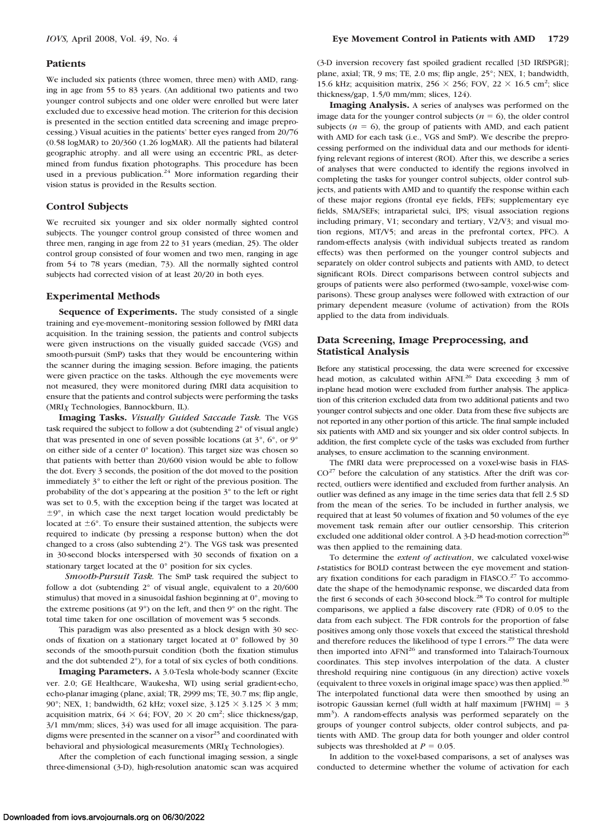#### **Patients**

We included six patients (three women, three men) with AMD, ranging in age from 55 to 83 years. (An additional two patients and two younger control subjects and one older were enrolled but were later excluded due to excessive head motion. The criterion for this decision is presented in the section entitled data screening and image preprocessing.) Visual acuities in the patients' better eyes ranged from 20/76 (0.58 logMAR) to 20/360 (1.26 logMAR). All the patients had bilateral geographic atrophy. and all were using an eccentric PRL, as determined from fundus fixation photographs. This procedure has been used in a previous publication.<sup>24</sup> More information regarding their vision status is provided in the Results section.

#### **Control Subjects**

We recruited six younger and six older normally sighted control subjects. The younger control group consisted of three women and three men, ranging in age from 22 to 31 years (median, 25). The older control group consisted of four women and two men, ranging in age from 54 to 78 years (median, 73). All the normally sighted control subjects had corrected vision of at least 20/20 in both eyes.

#### **Experimental Methods**

**Sequence of Experiments.** The study consisted of a single training and eye-movement–monitoring session followed by fMRI data acquisition. In the training session, the patients and control subjects were given instructions on the visually guided saccade (VGS) and smooth-pursuit (SmP) tasks that they would be encountering within the scanner during the imaging session. Before imaging, the patients were given practice on the tasks. Although the eye movements were not measured, they were monitored during fMRI data acquisition to ensure that the patients and control subjects were performing the tasks ( $MRI\chi$  Technologies, Bannockburn, IL).

**Imaging Tasks.** *Visually Guided Saccade Task.* The VGS task required the subject to follow a dot (subtending 2° of visual angle) that was presented in one of seven possible locations (at 3°, 6°, or 9° on either side of a center 0° location). This target size was chosen so that patients with better than 20/600 vision would be able to follow the dot. Every 3 seconds, the position of the dot moved to the position immediately 3° to either the left or right of the previous position. The probability of the dot's appearing at the position 3° to the left or right was set to 0.5, with the exception being if the target was located at  $\pm 9^{\circ}$ , in which case the next target location would predictably be located at  $\pm 6^{\circ}$ . To ensure their sustained attention, the subjects were required to indicate (by pressing a response button) when the dot changed to a cross (also subtending 2°). The VGS task was presented in 30-second blocks interspersed with 30 seconds of fixation on a stationary target located at the 0° position for six cycles.

*Smooth-Pursuit Task.* The SmP task required the subject to follow a dot (subtending 2° of visual angle, equivalent to a 20/600 stimulus) that moved in a sinusoidal fashion beginning at 0°, moving to the extreme positions (at 9°) on the left, and then 9° on the right. The total time taken for one oscillation of movement was 5 seconds.

This paradigm was also presented as a block design with 30 seconds of fixation on a stationary target located at 0° followed by 30 seconds of the smooth-pursuit condition (both the fixation stimulus and the dot subtended 2°), for a total of six cycles of both conditions.

**Imaging Parameters.** A 3.0-Tesla whole-body scanner (Excite ver. 2.0; GE Healthcare, Waukesha, WI) using serial gradient-echo, echo-planar imaging (plane, axial; TR, 2999 ms; TE, 30.7 ms; flip angle, 90°; NEX, 1; bandwidth, 62 kHz; voxel size,  $3.125 \times 3.125 \times 3$  mm; acquisition matrix,  $64 \times 64$ ; FOV,  $20 \times 20$  cm<sup>2</sup>; slice thickness/gap, 3/1 mm/mm; slices, 34) was used for all image acquisition. The paradigms were presented in the scanner on a visor<sup>25</sup> and coordinated with behavioral and physiological measurements (MRI $\chi$  Technologies).

After the completion of each functional imaging session, a single three-dimensional (3-D), high-resolution anatomic scan was acquired (3-D inversion recovery fast spoiled gradient recalled [3D IRfSPGR]; plane, axial; TR, 9 ms; TE, 2.0 ms; flip angle, 25°; NEX, 1; bandwidth, 15.6 kHz; acquisition matrix, 256  $\times$  256; FOV, 22  $\times$  16.5 cm<sup>2</sup>; slice thickness/gap, 1.5/0 mm/mm; slices, 124).

**Imaging Analysis.** A series of analyses was performed on the image data for the younger control subjects  $(n = 6)$ , the older control subjects  $(n = 6)$ , the group of patients with AMD, and each patient with AMD for each task (i.e., VGS and SmP). We describe the preprocessing performed on the individual data and our methods for identifying relevant regions of interest (ROI). After this, we describe a series of analyses that were conducted to identify the regions involved in completing the tasks for younger control subjects, older control subjects, and patients with AMD and to quantify the response within each of these major regions (frontal eye fields, FEFs; supplementary eye fields, SMA/SEFs; intraparietal sulci, IPS; visual association regions including primary, V1; secondary and tertiary, V2/V3; and visual motion regions, MT/V5; and areas in the prefrontal cortex, PFC). A random-effects analysis (with individual subjects treated as random effects) was then performed on the younger control subjects and separately on older control subjects and patients with AMD, to detect significant ROIs. Direct comparisons between control subjects and groups of patients were also performed (two-sample, voxel-wise comparisons). These group analyses were followed with extraction of our primary dependent measure (volume of activation) from the ROIs applied to the data from individuals.

## **Data Screening, Image Preprocessing, and Statistical Analysis**

Before any statistical processing, the data were screened for excessive head motion, as calculated within AFNI.<sup>26</sup> Data exceeding 3 mm of in-plane head motion were excluded from further analysis. The application of this criterion excluded data from two additional patients and two younger control subjects and one older. Data from these five subjects are not reported in any other portion of this article. The final sample included six patients with AMD and six younger and six older control subjects. In addition, the first complete cycle of the tasks was excluded from further analyses, to ensure acclimation to the scanning environment.

The fMRI data were preprocessed on a voxel-wise basis in FIAS- $CO<sup>27</sup>$  before the calculation of any statistics. After the drift was corrected, outliers were identified and excluded from further analysis. An outlier was defined as any image in the time series data that fell 2.5 SD from the mean of the series. To be included in further analysis, we required that at least 50 volumes of fixation and 50 volumes of the eye movement task remain after our outlier censorship. This criterion excluded one additional older control. A  $3-D$  head-motion correction<sup>26</sup> was then applied to the remaining data.

To determine the *extent of activation*, we calculated voxel-wise *t*-statistics for BOLD contrast between the eye movement and stationary fixation conditions for each paradigm in FIASCO.<sup>27</sup> To accommodate the shape of the hemodynamic response, we discarded data from the first 6 seconds of each 30-second block.<sup>28</sup> To control for multiple comparisons, we applied a false discovery rate (FDR) of 0.05 to the data from each subject. The FDR controls for the proportion of false positives among only those voxels that exceed the statistical threshold and therefore reduces the likelihood of type I errors.<sup>29</sup> The data were then imported into AFNI<sup>26</sup> and transformed into Talairach-Tournoux coordinates. This step involves interpolation of the data. A cluster threshold requiring nine contiguous (in any direction) active voxels (equivalent to three voxels in original image space) was then applied.<sup>30</sup> The interpolated functional data were then smoothed by using an isotropic Gaussian kernel (full width at half maximum [FWHM]  $=$  3 mm<sup>3</sup>). A random-effects analysis was performed separately on the groups of younger control subjects, older control subjects, and patients with AMD. The group data for both younger and older control subjects was thresholded at  $P = 0.05$ .

In addition to the voxel-based comparisons, a set of analyses was conducted to determine whether the volume of activation for each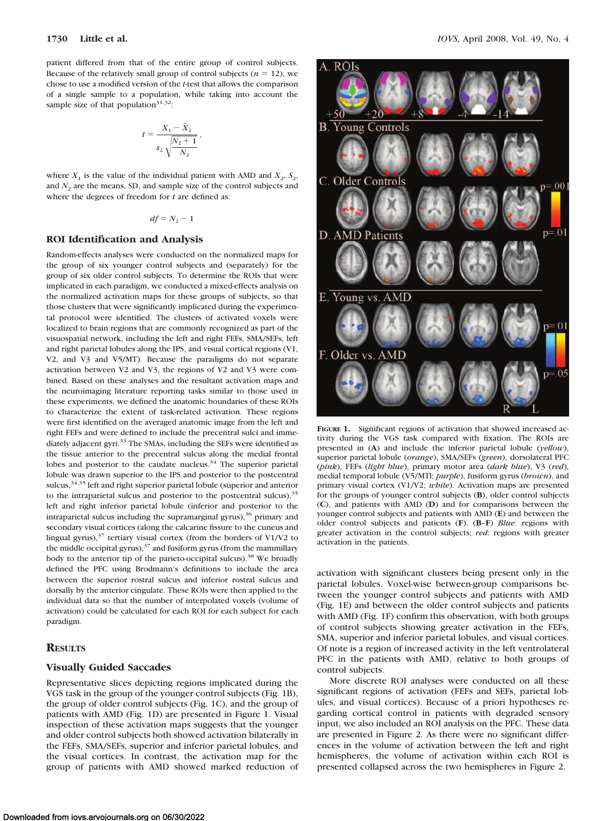patient differed from that of the entire group of control subjects. Because of the relatively small group of control subjects  $(n = 12)$ , we chose to use a modified version of the *t*-test that allows the comparison of a single sample to a population, while taking into account the sample size of that population $31,32$ :

$$
t = \frac{X_1 - \bar{X}_2}{s_2 \sqrt{\frac{N_2 + 1}{N_2}}}
$$

,

where  $X_1$  is the value of the individual patient with AMD and  $X_2$ ,  $S_2$ , and  $N<sub>2</sub>$  are the means, SD, and sample size of the control subjects and where the degrees of freedom for *t* are defined as:

$$
df = N_2 - 1
$$

#### **ROI Identification and Analysis**

Random-effects analyses were conducted on the normalized maps for the group of six younger control subjects and (separately) for the group of six older control subjects. To determine the ROIs that were implicated in each paradigm, we conducted a mixed-effects analysis on the normalized activation maps for these groups of subjects, so that those clusters that were significantly implicated during the experimental protocol were identified. The clusters of activated voxels were localized to brain regions that are commonly recognized as part of the visuospatial network, including the left and right FEFs, SMA/SEFs, left and right parietal lobules along the IPS, and visual cortical regions (V1, V2, and V3 and V5/MT). Because the paradigms do not separate activation between V2 and V3, the regions of V2 and V3 were combined. Based on these analyses and the resultant activation maps and the neuroimaging literature reporting tasks similar to those used in these experiments, we defined the anatomic boundaries of these ROIs to characterize the extent of task-related activation. These regions were first identified on the averaged anatomic image from the left and right FEFs and were defined to include the precentral sulci and immediately adjacent gyri.<sup>33</sup> The SMAs, including the SEFs were identified as the tissue anterior to the precentral sulcus along the medial frontal lobes and posterior to the caudate nucleus.<sup>34</sup> The superior parietal lobule was drawn superior to the IPS and posterior to the postcentral sulcus,<sup>34,35</sup> left and right superior parietal lobule (superior and anterior to the intraparietal sulcus and posterior to the postcentral sulcus),  $35$ left and right inferior parietal lobule (inferior and posterior to the intraparietal sulcus including the supramarginal gyrus), $36$  primary and secondary visual cortices (along the calcarine fissure to the cuneus and lingual gyrus), $37$  tertiary visual cortex (from the borders of V1/V2 to the middle occipital gyrus), $37$  and fusiform gyrus (from the mammillary body to the anterior tip of the parieto-occipital sulcus).<sup>38</sup> We broadly defined the PFC using Brodmann's definitions to include the area between the superior rostral sulcus and inferior rostral sulcus and dorsally by the anterior cingulate. These ROIs were then applied to the individual data so that the number of interpolated voxels (volume of activation) could be calculated for each ROI for each subject for each paradigm.

## **RESULTS**

## **Visually Guided Saccades**

Representative slices depicting regions implicated during the VGS task in the group of the younger control subjects (Fig. 1B), the group of older control subjects (Fig. 1C), and the group of patients with AMD (Fig. 1D) are presented in Figure 1. Visual inspection of these activation maps suggests that the younger and older control subjects both showed activation bilaterally in the FEFs, SMA/SEFs, superior and inferior parietal lobules, and the visual cortices. In contrast, the activation map for the group of patients with AMD showed marked reduction of



**FIGURE 1.** Significant regions of activation that showed increased activity during the VGS task compared with fixation. The ROIs are presented in (**A**) and include the inferior parietal lobule (*yellow*), superior parietal lobule (*orange*), SMA/SEFs (*green*), dorsolateral PFC (*pink*), FEFs (*light blue*), primary motor area (*dark blue*), V3 (*red*), medial temporal lobule (V5/MTl; *purple*), fusiform gyrus (*brown*), and primary visual cortex (V1/V2; *white*). Activation maps are presented for the groups of younger control subjects (**B**), older control subjects (**C**), and patients with AMD (**D**) and for comparisons between the younger control subjects and patients with AMD (**E**) and between the older control subjects and patients (**F**). (**B**–**F**) *Blue*: regions with greater activation in the control subjects; *red*: regions with greater activation in the patients.

activation with significant clusters being present only in the parietal lobules. Voxel-wise between-group comparisons between the younger control subjects and patients with AMD (Fig. 1E) and between the older control subjects and patients with AMD (Fig. 1F) confirm this observation, with both groups of control subjects showing greater activation in the FEFs, SMA, superior and inferior parietal lobules, and visual cortices. Of note is a region of increased activity in the left ventrolateral PFC in the patients with AMD, relative to both groups of control subjects.

More discrete ROI analyses were conducted on all these significant regions of activation (FEFs and SEFs, parietal lobules, and visual cortices). Because of a priori hypotheses regarding cortical control in patients with degraded sensory input, we also included an ROI analysis on the PFC. These data are presented in Figure 2. As there were no significant differences in the volume of activation between the left and right hemispheres, the volume of activation within each ROI is presented collapsed across the two hemispheres in Figure 2.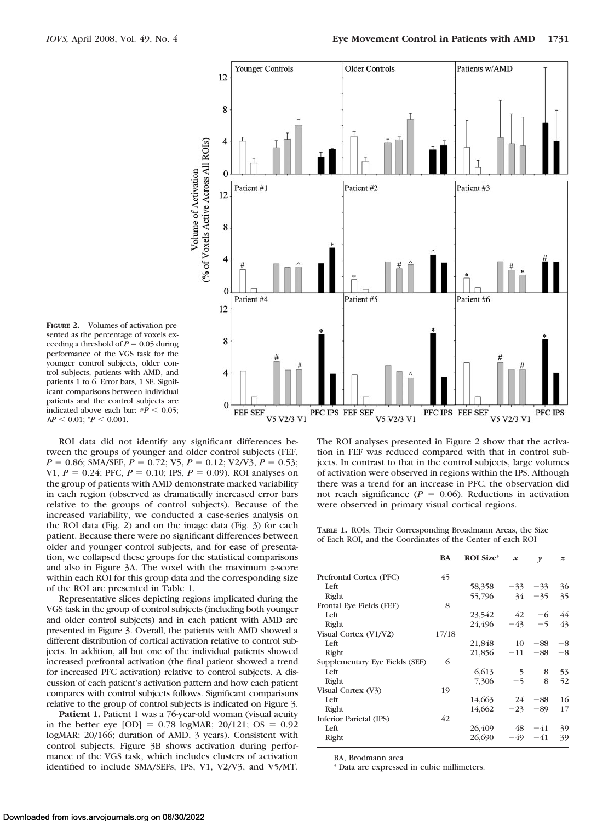

**FIGURE 2.** Volumes of activation presented as the percentage of voxels exceeding a threshold of  $P = 0.05$  during performance of the VGS task for the younger control subjects, older control subjects, patients with AMD, and patients 1 to 6. Error bars, 1 SE. Significant comparisons between individual patients and the control subjects are indicated above each bar:  $\#P$  < 0.05;  $\wedge P$  < 0.01; \* $P$  < 0.001.

ROI data did not identify any significant differences between the groups of younger and older control subjects (FEF,  $P = 0.86$ ; SMA/SEF,  $P = 0.72$ ; V5,  $P = 0.12$ ; V2/V3,  $P = 0.53$ ; V1,  $P = 0.24$ ; PFC,  $P = 0.10$ ; IPS,  $P = 0.09$ ). ROI analyses on the group of patients with AMD demonstrate marked variability in each region (observed as dramatically increased error bars relative to the groups of control subjects). Because of the increased variability, we conducted a case-series analysis on the ROI data (Fig. 2) and on the image data (Fig. 3) for each patient. Because there were no significant differences between older and younger control subjects, and for ease of presentation, we collapsed these groups for the statistical comparisons and also in Figure 3A. The voxel with the maximum *z*-score within each ROI for this group data and the corresponding size of the ROI are presented in Table 1.

Representative slices depicting regions implicated during the VGS task in the group of control subjects (including both younger and older control subjects) and in each patient with AMD are presented in Figure 3. Overall, the patients with AMD showed a different distribution of cortical activation relative to control subjects. In addition, all but one of the individual patients showed increased prefrontal activation (the final patient showed a trend for increased PFC activation) relative to control subjects. A discussion of each patient's activation pattern and how each patient compares with control subjects follows. Significant comparisons relative to the group of control subjects is indicated on Figure 3.

Patient 1. Patient 1 was a 76-year-old woman (visual acuity in the better eye  $[OD] = 0.78$  logMAR; 20/121;  $OS = 0.92$ logMAR; 20/166; duration of AMD, 3 years). Consistent with control subjects, Figure 3B shows activation during performance of the VGS task, which includes clusters of activation identified to include SMA/SEFs, IPS, V1, V2/V3, and V5/MT.

The ROI analyses presented in Figure 2 show that the activation in FEF was reduced compared with that in control subjects. In contrast to that in the control subjects, large volumes of activation were observed in regions within the IPS. Although there was a trend for an increase in PFC, the observation did not reach significance ( $P = 0.06$ ). Reductions in activation were observed in primary visual cortical regions.

**TABLE 1.** ROIs, Their Corresponding Broadmann Areas, the Size of Each ROI, and the Coordinates of the Center of each ROI

|                                | BA    | <b>ROI</b> Size* | $\boldsymbol{\mathcal{X}}$ | $\boldsymbol{\nu}$ | z    |
|--------------------------------|-------|------------------|----------------------------|--------------------|------|
| Prefrontal Cortex (PFC)        | 45    |                  |                            |                    |      |
| Left                           |       | 58,358           | $-33$                      | $-33$              | 36   |
| Right                          |       | 55,796           | 34                         | $-35$              | 35   |
| Frontal Eye Fields (FEF)       | 8     |                  |                            |                    |      |
| Left                           |       | 23,542           | 42                         | -6                 | 44   |
| Right                          |       | 24.496           | $-43$                      | $-5$               | 43   |
| Visual Cortex (V1/V2)          | 17/18 |                  |                            |                    |      |
| Left                           |       | 21,848           | 10                         | $-88$              | $-8$ |
| Right                          |       | 21,856           | $-11$                      | $-88$              | $-8$ |
| Supplementary Eye Fields (SEF) | 6     |                  |                            |                    |      |
| Left                           |       | 6,613            | 5                          | 8                  | 53   |
| Right                          |       | 7,306            | $-5$                       | 8                  | 52   |
| Visual Cortex (V3)             | 19    |                  |                            |                    |      |
| Left                           |       | 14,663           | 24                         | $-88$              | 16   |
| Right                          |       | 14,662           | $-23$                      | $-89$              | 17   |
| Inferior Parietal (IPS)        | 42    |                  |                            |                    |      |
| Left                           |       | 26,409           | 48                         | $-41$              | 39   |
| Right                          |       | 26,690           | $-49$                      | $-41$              | 39   |

BA, Brodmann area

\* Data are expressed in cubic millimeters.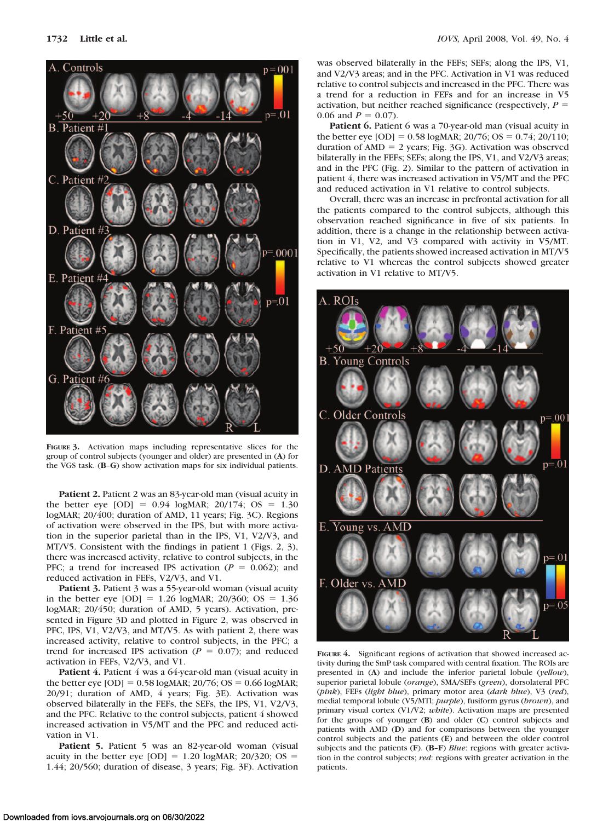

**FIGURE 3.** Activation maps including representative slices for the group of control subjects (younger and older) are presented in (**A**) for the VGS task. (**B**–**G**) show activation maps for six individual patients.

**Patient 2.** Patient 2 was an 83-year-old man (visual acuity in the better eye  $[OD] = 0.94$  logMAR;  $20/174$ ;  $OS = 1.30$ logMAR; 20/400; duration of AMD, 11 years; Fig. 3C). Regions of activation were observed in the IPS, but with more activation in the superior parietal than in the IPS, V1, V2/V3, and MT/V5. Consistent with the findings in patient 1 (Figs. 2, 3), there was increased activity, relative to control subjects, in the PFC; a trend for increased IPS activation  $(P = 0.062)$ ; and reduced activation in FEFs, V2/V3, and V1.

Patient 3. Patient 3 was a 55-year-old woman (visual acuity in the better eye  $[OD] = 1.26$  logMAR;  $20/360$ ;  $OS = 1.36$ logMAR; 20/450; duration of AMD, 5 years). Activation, presented in Figure 3D and plotted in Figure 2, was observed in PFC, IPS, V1, V2/V3, and MT/V5. As with patient 2, there was increased activity, relative to control subjects, in the PFC; a trend for increased IPS activation ( $P = 0.07$ ); and reduced activation in FEFs, V2/V3, and V1.

Patient 4. Patient 4 was a 64-year-old man (visual acuity in the better eye  $[OD] = 0.58$  logMAR;  $20/76$ ;  $OS = 0.66$  logMAR; 20/91; duration of AMD, 4 years; Fig. 3E). Activation was observed bilaterally in the FEFs, the SEFs, the IPS, V1, V2/V3, and the PFC. Relative to the control subjects, patient 4 showed increased activation in V5/MT and the PFC and reduced activation in V1.

Patient 5. Patient 5 was an 82-year-old woman (visual acuity in the better eye  $[OD] = 1.20$  logMAR; 20/320; OS = 1.44; 20/560; duration of disease, 3 years; Fig. 3F). Activation was observed bilaterally in the FEFs; SEFs; along the IPS, V1, and V2/V3 areas; and in the PFC. Activation in V1 was reduced relative to control subjects and increased in the PFC. There was a trend for a reduction in FEFs and for an increase in V5 activation, but neither reached significance (respectively, *P* 0.06 and  $P = 0.07$ ).

**Patient 6.** Patient 6 was a 70-year-old man (visual acuity in the better eye  $[OD] = 0.58$  logMAR;  $20/76$ ;  $OS = 0.74$ ;  $20/110$ ; duration of  $AMD = 2$  years; Fig. 3G). Activation was observed bilaterally in the FEFs; SEFs; along the IPS, V1, and V2/V3 areas; and in the PFC (Fig. 2). Similar to the pattern of activation in patient 4, there was increased activation in V5/MT and the PFC and reduced activation in V1 relative to control subjects.

Overall, there was an increase in prefrontal activation for all the patients compared to the control subjects, although this observation reached significance in five of six patients. In addition, there is a change in the relationship between activation in V1, V2, and V3 compared with activity in V5/MT. Specifically, the patients showed increased activation in MT/V5 relative to V1 whereas the control subjects showed greater activation in V1 relative to MT/V5.



**FIGURE 4.** Significant regions of activation that showed increased activity during the SmP task compared with central fixation. The ROIs are presented in (**A**) and include the inferior parietal lobule (*yellow*), superior parietal lobule (*orange*), SMA/SEFs (*green*), dorsolateral PFC (*pink*), FEFs (*light blue*), primary motor area (*dark blue*), V3 (*red*), medial temporal lobule (V5/MTl; *purple*), fusiform gyrus (*brown*), and primary visual cortex (V1/V2; *white*). Activation maps are presented for the groups of younger (**B**) and older (**C**) control subjects and patients with AMD (**D**) and for comparisons between the younger control subjects and the patients (**E**) and between the older control subjects and the patients (**F**). (**B**–**F**) *Blue*: regions with greater activation in the control subjects; *red*: regions with greater activation in the patients.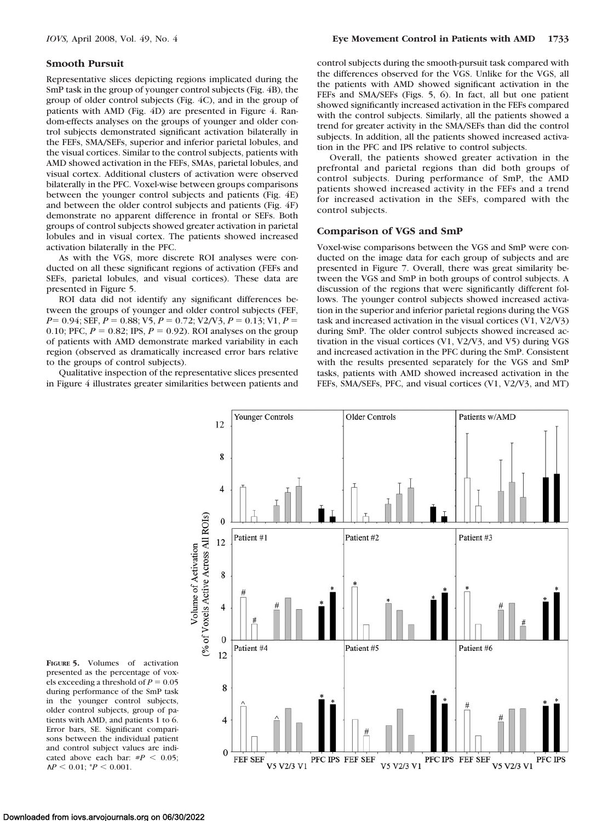## **Smooth Pursuit**

Representative slices depicting regions implicated during the SmP task in the group of younger control subjects (Fig. 4B), the group of older control subjects (Fig. 4C), and in the group of patients with AMD (Fig. 4D) are presented in Figure 4. Random-effects analyses on the groups of younger and older control subjects demonstrated significant activation bilaterally in the FEFs, SMA/SEFs, superior and inferior parietal lobules, and the visual cortices. Similar to the control subjects, patients with AMD showed activation in the FEFs, SMAs, parietal lobules, and visual cortex. Additional clusters of activation were observed bilaterally in the PFC. Voxel-wise between groups comparisons between the younger control subjects and patients (Fig. 4E) and between the older control subjects and patients (Fig. 4F) demonstrate no apparent difference in frontal or SEFs. Both groups of control subjects showed greater activation in parietal lobules and in visual cortex. The patients showed increased activation bilaterally in the PFC.

As with the VGS, more discrete ROI analyses were conducted on all these significant regions of activation (FEFs and SEFs, parietal lobules, and visual cortices). These data are presented in Figure 5.

ROI data did not identify any significant differences between the groups of younger and older control subjects (FEF,  $P = 0.94$ ; *SEF*,  $P = 0.88$ ; *V*5,  $P = 0.72$ ; *V2/V3*,  $P = 0.13$ ; *V1*,  $P =$ 0.10; PFC,  $P = 0.82$ ; IPS,  $P = 0.92$ ). ROI analyses on the group of patients with AMD demonstrate marked variability in each region (observed as dramatically increased error bars relative to the groups of control subjects).

Qualitative inspection of the representative slices presented in Figure 4 illustrates greater similarities between patients and control subjects during the smooth-pursuit task compared with the differences observed for the VGS. Unlike for the VGS, all the patients with AMD showed significant activation in the FEFs and SMA/SEFs (Figs. 5, 6). In fact, all but one patient showed significantly increased activation in the FEFs compared with the control subjects. Similarly, all the patients showed a trend for greater activity in the SMA/SEFs than did the control subjects. In addition, all the patients showed increased activation in the PFC and IPS relative to control subjects.

Overall, the patients showed greater activation in the prefrontal and parietal regions than did both groups of control subjects. During performance of SmP, the AMD patients showed increased activity in the FEFs and a trend for increased activation in the SEFs, compared with the control subjects.

#### **Comparison of VGS and SmP**

Voxel-wise comparisons between the VGS and SmP were conducted on the image data for each group of subjects and are presented in Figure 7. Overall, there was great similarity between the VGS and SmP in both groups of control subjects. A discussion of the regions that were significantly different follows. The younger control subjects showed increased activation in the superior and inferior parietal regions during the VGS task and increased activation in the visual cortices (V1, V2/V3) during SmP. The older control subjects showed increased activation in the visual cortices (V1, V2/V3, and V5) during VGS and increased activation in the PFC during the SmP. Consistent with the results presented separately for the VGS and SmP tasks, patients with AMD showed increased activation in the FEFs, SMA/SEFs, PFC, and visual cortices (V1, V2/V3, and MT)



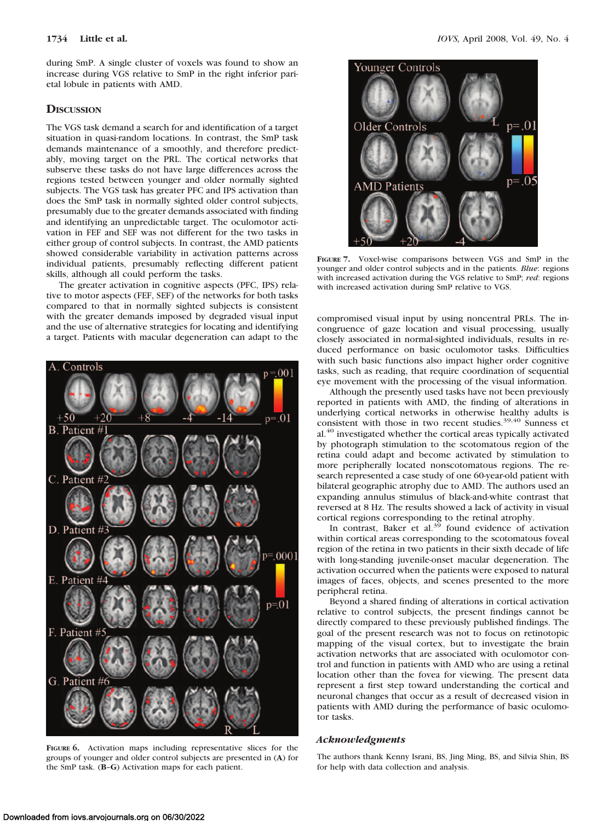during SmP. A single cluster of voxels was found to show an increase during VGS relative to SmP in the right inferior parietal lobule in patients with AMD.

## **DISCUSSION**

The VGS task demand a search for and identification of a target situation in quasi-random locations. In contrast, the SmP task demands maintenance of a smoothly, and therefore predictably, moving target on the PRL. The cortical networks that subserve these tasks do not have large differences across the regions tested between younger and older normally sighted subjects. The VGS task has greater PFC and IPS activation than does the SmP task in normally sighted older control subjects, presumably due to the greater demands associated with finding and identifying an unpredictable target. The oculomotor activation in FEF and SEF was not different for the two tasks in either group of control subjects. In contrast, the AMD patients showed considerable variability in activation patterns across individual patients, presumably reflecting different patient skills, although all could perform the tasks.

The greater activation in cognitive aspects (PFC, IPS) relative to motor aspects (FEF, SEF) of the networks for both tasks compared to that in normally sighted subjects is consistent with the greater demands imposed by degraded visual input and the use of alternative strategies for locating and identifying a target. Patients with macular degeneration can adapt to the



**FIGURE 6.** Activation maps including representative slices for the groups of younger and older control subjects are presented in (**A**) for the SmP task. (**B**–**G**) Activation maps for each patient.



**FIGURE 7.** Voxel-wise comparisons between VGS and SmP in the younger and older control subjects and in the patients. *Blue*: regions with increased activation during the VGS relative to SmP; *red*: regions with increased activation during SmP relative to VGS.

compromised visual input by using noncentral PRLs. The incongruence of gaze location and visual processing, usually closely associated in normal-sighted individuals, results in reduced performance on basic oculomotor tasks. Difficulties with such basic functions also impact higher order cognitive tasks, such as reading, that require coordination of sequential eye movement with the processing of the visual information.

Although the presently used tasks have not been previously reported in patients with AMD, the finding of alterations in underlying cortical networks in otherwise healthy adults is consistent with those in two recent studies.<sup>39,40</sup> Sunness et al.40 investigated whether the cortical areas typically activated by photograph stimulation to the scotomatous region of the retina could adapt and become activated by stimulation to more peripherally located nonscotomatous regions. The research represented a case study of one 60-year-old patient with bilateral geographic atrophy due to AMD. The authors used an expanding annulus stimulus of black-and-white contrast that reversed at 8 Hz. The results showed a lack of activity in visual cortical regions corresponding to the retinal atrophy.

In contrast, Baker et al. $39$  found evidence of activation within cortical areas corresponding to the scotomatous foveal region of the retina in two patients in their sixth decade of life with long-standing juvenile-onset macular degeneration. The activation occurred when the patients were exposed to natural images of faces, objects, and scenes presented to the more peripheral retina.

Beyond a shared finding of alterations in cortical activation relative to control subjects, the present findings cannot be directly compared to these previously published findings. The goal of the present research was not to focus on retinotopic mapping of the visual cortex, but to investigate the brain activation networks that are associated with oculomotor control and function in patients with AMD who are using a retinal location other than the fovea for viewing. The present data represent a first step toward understanding the cortical and neuronal changes that occur as a result of decreased vision in patients with AMD during the performance of basic oculomotor tasks.

#### *Acknowledgments*

The authors thank Kenny Israni, BS, Jing Ming, BS, and Silvia Shin, BS for help with data collection and analysis.